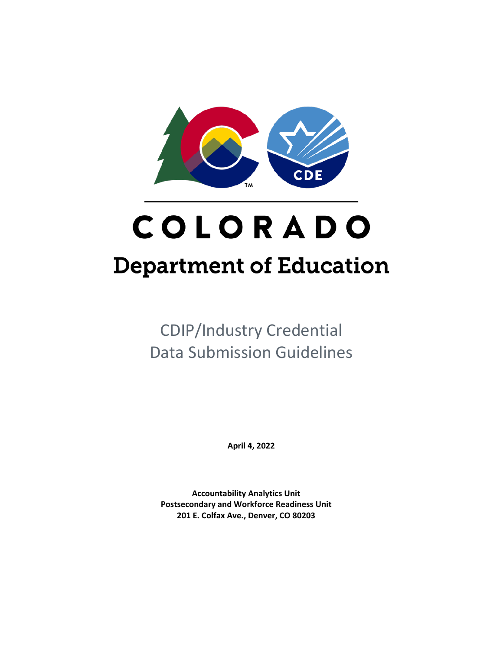

# COLORADO **Department of Education**

CDIP/Industry Credential Data Submission Guidelines

**April 4, 2022**

**Accountability Analytics Unit Postsecondary and Workforce Readiness Unit 201 E. Colfax Ave., Denver, CO 80203**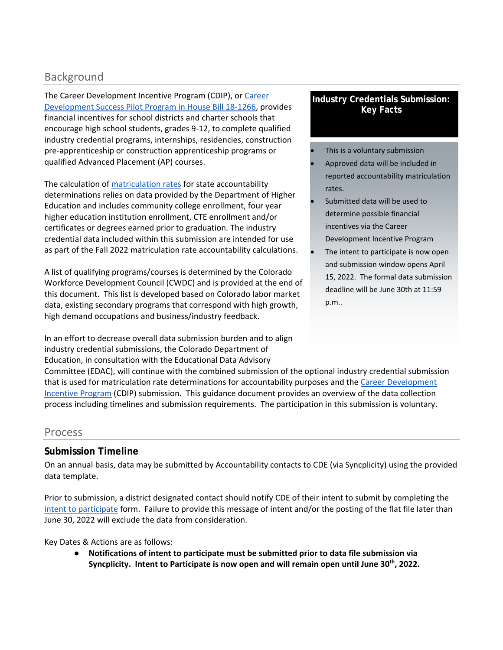# Background

The Career Development Incentive Program (CDIP), or [Career](https://leg.colorado.gov/sites/default/files/2018a_1266_signed.pdf)  [Development Success Pilot Program in House Bill 18-1266,](https://leg.colorado.gov/sites/default/files/2018a_1266_signed.pdf) provides financial incentives for school districts and charter schools that encourage high school students, grades 9-12, to complete qualified industry credential programs, internships, residencies, construction pre-apprenticeship or construction apprenticeship programs or qualified Advanced Placement (AP) courses.

The calculation o[f matriculation rates](https://www.cde.state.co.us/accountability/matriculation-guidance-and-faq-2019_4-11-19_final) for state accountability determinations relies on data provided by the Department of Higher Education and includes community college enrollment, four year higher education institution enrollment, CTE enrollment and/or certificates or degrees earned prior to graduation. The industry credential data included within this submission are intended for use as part of the Fall 2022 matriculation rate accountability calculations.

A list of qualifying programs/courses is determined by the Colorado Workforce Development Council (CWDC) and is provided at the end of this document. This list is developed based on Colorado labor market data, existing secondary programs that correspond with high growth, high demand occupations and business/industry feedback.

In an effort to decrease overall data submission burden and to align industry credential submissions, the Colorado Department of Education, in consultation with the Educational Data Advisory

## **Industry Credentials Submission: Key Facts**

- This is a voluntary submission • Approved data will be included in reported accountability matriculation rates.
- Submitted data will be used to determine possible financial incentives via the Career Development Incentive Program
- The intent to participate is now open and submission window opens April 15, 2022. The formal data submission deadline will be June 30th at 11:59 p.m..

Committee (EDAC), will continue with the combined submission of the optional industry credential submission that is used for matriculation rate determinations for accountability purposes and the Career Development [Incentive Program](https://leg.colorado.gov/sites/default/files/2018a_1266_signed.pdf) (CDIP) submission. This guidance document provides an overview of the data collection process including timelines and submission requirements. The participation in this submission is voluntary.

## Process

# **Submission Timeline**

On an annual basis, data may be submitted by Accountability contacts to CDE (via Syncplicity) using the provided data template.

Prior to submission, a district designated contact should notify CDE of their intent to submit by completing the [intent to participate](http://survey.alchemer.com/s3/4000155/21-22-Participation-Agreement) form. Failure to provide this message of intent and/or the posting of the flat file later than June 30, 2022 will exclude the data from consideration.

Key Dates & Actions are as follows:

● **Notifications of intent to participate must be submitted prior to data file submission via Syncplicity. Intent to Participate is now open and will remain open until June 30th, 2022.**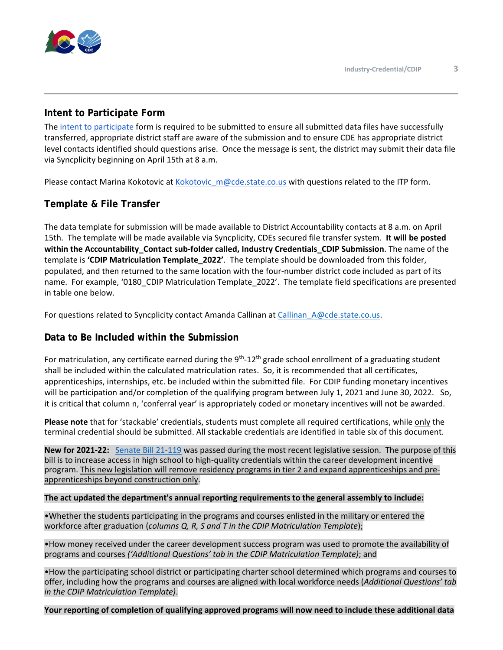

## **Intent to Participate Form**

The [intent to participate f](http://survey.alchemer.com/s3/4000155/21-22-Participation-Agreement)orm is required to be submitted to ensure all submitted data files have successfully transferred, appropriate district staff are aware of the submission and to ensure CDE has appropriate district level contacts identified should questions arise. Once the message is sent, the district may submit their data file via Syncplicity beginning on April 15th at 8 a.m.

Please contact Marina Kokotovic at Kokotovic  $m@cde.$ state.co.us with questions related to the ITP form.

## **Template & File Transfer**

The data template for submission will be made available to District Accountability contacts at 8 a.m. on April 15th. The template will be made available via Syncplicity, CDEs secured file transfer system. **It will be posted within the Accountability\_Contact sub-folder called, Industry Credentials\_CDIP Submission**. The name of the template is **'CDIP Matriculation Template\_2022'**. The template should be downloaded from this folder, populated, and then returned to the same location with the four-number district code included as part of its name. For example, '0180\_CDIP Matriculation Template\_2022'. The template field specifications are presented in table one below.

For questions related to Syncplicity contact Amanda Callinan at [Callinan\\_A@cde.state.co.us.](mailto:Callinan_A@cde.state.co.us)

## **Data to Be Included within the Submission**

For matriculation, any certificate earned during the  $9<sup>th</sup>$ -12<sup>th</sup> grade school enrollment of a graduating student shall be included within the calculated matriculation rates. So, it is recommended that all certificates, apprenticeships, internships, etc. be included within the submitted file. For CDIP funding monetary incentives will be participation and/or completion of the qualifying program between July 1, 2021 and June 30, 2022. So, it is critical that column n, 'conferral year' is appropriately coded or monetary incentives will not be awarded.

**Please note** that for 'stackable' credentials, students must complete all required certifications, while only the terminal credential should be submitted. All stackable credentials are identified in table six of this document.

**New for 2021-22:** [Senate Bill 21-119](https://leg.colorado.gov/sites/default/files/2021a_119_signed.pdf) was passed during the most recent legislative session. The purpose of this bill is to increase access in high school to high-quality credentials within the career development incentive program. This new legislation will remove residency programs in tier 2 and expand apprenticeships and preapprenticeships beyond construction only.

#### **The act updated the department's annual reporting requirements to the general assembly to include:**

•Whether the students participating in the programs and courses enlisted in the military or entered the workforce after graduation (*columns Q, R, S and T in the CDIP Matriculation Template*);

•How money received under the career development success program was used to promote the availability of programs and courses *('Additional Questions' tab in the CDIP Matriculation Template)*; and

•How the participating school district or participating charter school determined which programs and courses to offer, including how the programs and courses are aligned with local workforce needs (*Additional Questions' tab in the CDIP Matriculation Template)*.

**Your reporting of completion of qualifying approved programs will now need to include these additional data**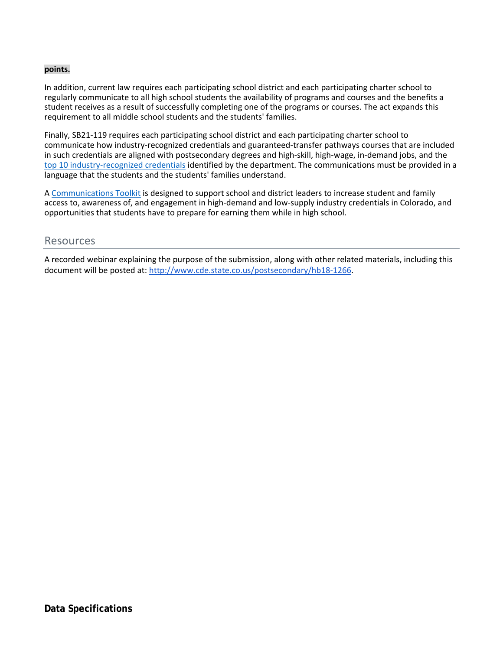#### **points.**

In addition, current law requires each participating school district and each participating charter school to regularly communicate to all high school students the availability of programs and courses and the benefits a student receives as a result of successfully completing one of the programs or courses. The act expands this requirement to all middle school students and the students' families.

Finally, SB21-119 requires each participating school district and each participating charter school to communicate how industry-recognized credentials and guaranteed-transfer pathways courses that are included in such credentials are aligned with postsecondary degrees and high-skill, high-wage, in-demand jobs, and the [top 10 industry-recognized credentials](http://www.cde.state.co.us/communications/top10industrycredentials) identified by the department. The communications must be provided in a language that the students and the students' families understand.

A [Communications Toolkit](http://www.cde.state.co.us/communications/coloradocdiptoolkit) is designed to support school and district leaders to increase student and family access to, awareness of, and engagement in high-demand and low-supply industry credentials in Colorado, and opportunities that students have to prepare for earning them while in high school.

## Resources

A recorded webinar explaining the purpose of the submission, along with other related materials, including this document will be posted at[: http://www.cde.state.co.us/postsecondary/hb18-126](http://www.cde.state.co.us/postsecondary/hb18-1266)6.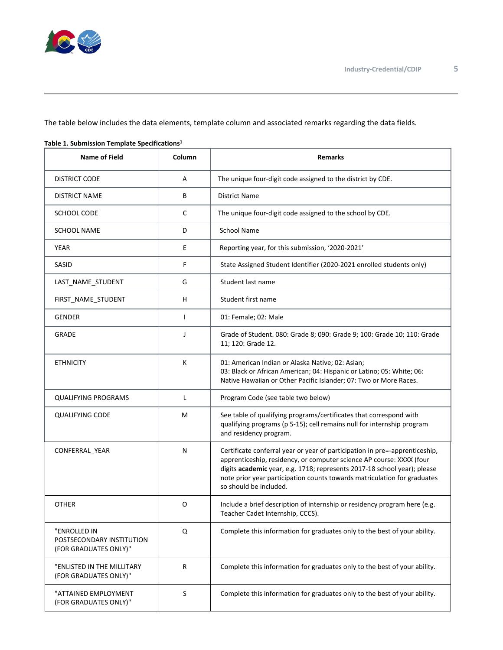

The table below includes the data elements, template column and associated remarks regarding the data fields.

| <b>Name of Field</b>                                               | Column       | <b>Remarks</b>                                                                                                                                                                                                                                                                                                                        |
|--------------------------------------------------------------------|--------------|---------------------------------------------------------------------------------------------------------------------------------------------------------------------------------------------------------------------------------------------------------------------------------------------------------------------------------------|
| <b>DISTRICT CODE</b>                                               | Α            | The unique four-digit code assigned to the district by CDE.                                                                                                                                                                                                                                                                           |
| <b>DISTRICT NAME</b>                                               | В            | District Name                                                                                                                                                                                                                                                                                                                         |
| SCHOOL CODE                                                        | C            | The unique four-digit code assigned to the school by CDE.                                                                                                                                                                                                                                                                             |
| <b>SCHOOL NAME</b>                                                 | D            | <b>School Name</b>                                                                                                                                                                                                                                                                                                                    |
| <b>YEAR</b>                                                        | Е            | Reporting year, for this submission, '2020-2021'                                                                                                                                                                                                                                                                                      |
| SASID                                                              | F            | State Assigned Student Identifier (2020-2021 enrolled students only)                                                                                                                                                                                                                                                                  |
| LAST_NAME_STUDENT                                                  | G            | Student last name                                                                                                                                                                                                                                                                                                                     |
| FIRST_NAME_STUDENT                                                 | н            | Student first name                                                                                                                                                                                                                                                                                                                    |
| <b>GENDER</b>                                                      | $\mathbf{I}$ | 01: Female; 02: Male                                                                                                                                                                                                                                                                                                                  |
| <b>GRADE</b>                                                       | J            | Grade of Student. 080: Grade 8; 090: Grade 9; 100: Grade 10; 110: Grade<br>11; 120: Grade 12.                                                                                                                                                                                                                                         |
| <b>ETHNICITY</b>                                                   | К            | 01: American Indian or Alaska Native; 02: Asian;<br>03: Black or African American; 04: Hispanic or Latino; 05: White; 06:<br>Native Hawaiian or Other Pacific Islander; 07: Two or More Races.                                                                                                                                        |
| <b>QUALIFYING PROGRAMS</b>                                         | L            | Program Code (see table two below)                                                                                                                                                                                                                                                                                                    |
| <b>QUALIFYING CODE</b>                                             | M            | See table of qualifying programs/certificates that correspond with<br>qualifying programs (p 5-15); cell remains null for internship program<br>and residency program.                                                                                                                                                                |
| CONFERRAL_YEAR                                                     | N            | Certificate conferral year or year of participation in pre=-apprenticeship,<br>apprenticeship, residency, or computer science AP course: XXXX (four<br>digits academic year, e.g. 1718; represents 2017-18 school year); please<br>note prior year participation counts towards matriculation for graduates<br>so should be included. |
| OTHER                                                              | O            | Include a brief description of internship or residency program here (e.g.<br>Teacher Cadet Internship, CCCS).                                                                                                                                                                                                                         |
| "ENROLLED IN<br>POSTSECONDARY INSTITUTION<br>(FOR GRADUATES ONLY)" | Q            | Complete this information for graduates only to the best of your ability.                                                                                                                                                                                                                                                             |
| "ENLISTED IN THE MILLITARY<br>(FOR GRADUATES ONLY)"                | R            | Complete this information for graduates only to the best of your ability.                                                                                                                                                                                                                                                             |
| "ATTAINED EMPLOYMENT<br>(FOR GRADUATES ONLY)"                      | S            | Complete this information for graduates only to the best of your ability.                                                                                                                                                                                                                                                             |

#### **Table 1. Submission Template Specifications1**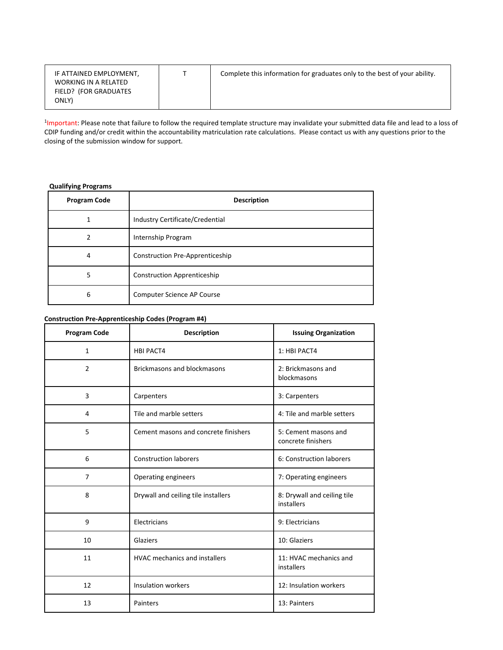| IF ATTAINED EMPLOYMENT,<br>WORKING IN A RELATED<br>FIELD? (FOR GRADUATES<br>ONLY) |  | Complete this information for graduates only to the best of your ability. |
|-----------------------------------------------------------------------------------|--|---------------------------------------------------------------------------|
|-----------------------------------------------------------------------------------|--|---------------------------------------------------------------------------|

<sup>1</sup>Important: Please note that failure to follow the required template structure may invalidate your submitted data file and lead to a loss of CDIP funding and/or credit within the accountability matriculation rate calculations. Please contact us with any questions prior to the closing of the submission window for support.

### **Qualifying Programs**

| <b>Program Code</b> | <b>Description</b>                 |
|---------------------|------------------------------------|
|                     | Industry Certificate/Credential    |
|                     | Internship Program                 |
| 4                   | Construction Pre-Apprenticeship    |
| 5                   | <b>Construction Apprenticeship</b> |
| 6                   | Computer Science AP Course         |

## **Construction Pre-Apprenticeship Codes (Program #4)**

| <b>Program Code</b> | <b>Description</b>                   | <b>Issuing Organization</b>                |
|---------------------|--------------------------------------|--------------------------------------------|
| $\mathbf{1}$        | <b>HBI PACT4</b>                     | 1: HBI PACT4                               |
| 2                   | <b>Brickmasons and blockmasons</b>   | 2: Brickmasons and<br>blockmasons          |
| 3                   | Carpenters                           | 3: Carpenters                              |
| 4                   | Tile and marble setters              | 4: Tile and marble setters                 |
| 5                   | Cement masons and concrete finishers | 5: Cement masons and<br>concrete finishers |
| 6                   | <b>Construction laborers</b>         | 6: Construction laborers                   |
| $\overline{7}$      | Operating engineers                  | 7: Operating engineers                     |
| 8                   | Drywall and ceiling tile installers  | 8: Drywall and ceiling tile<br>installers  |
| 9                   | Electricians                         | 9: Electricians                            |
| 10                  | Glaziers                             | 10: Glaziers                               |
| 11                  | <b>HVAC</b> mechanics and installers | 11: HVAC mechanics and<br>installers       |
| 12                  | <b>Insulation workers</b>            | 12: Insulation workers                     |
| 13                  | Painters                             | 13: Painters                               |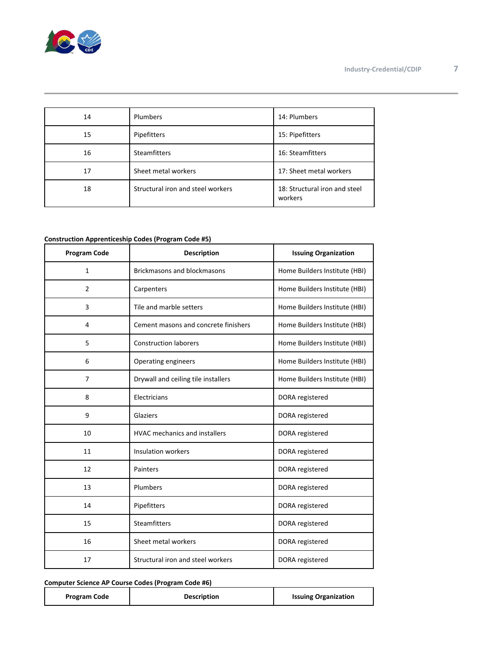

| 14 | Plumbers                          | 14: Plumbers                             |
|----|-----------------------------------|------------------------------------------|
| 15 | Pipefitters                       | 15: Pipefitters                          |
| 16 | <b>Steamfitters</b>               | 16: Steamfitters                         |
| 17 | Sheet metal workers               | 17: Sheet metal workers                  |
| 18 | Structural iron and steel workers | 18: Structural iron and steel<br>workers |

#### **Construction Apprenticeship Codes (Program Code #5)**

| <b>Program Code</b> | <b>Description</b>                   | <b>Issuing Organization</b>   |
|---------------------|--------------------------------------|-------------------------------|
| $\mathbf{1}$        | <b>Brickmasons and blockmasons</b>   | Home Builders Institute (HBI) |
| $\overline{2}$      | Carpenters                           | Home Builders Institute (HBI) |
| 3                   | Tile and marble setters              | Home Builders Institute (HBI) |
| 4                   | Cement masons and concrete finishers | Home Builders Institute (HBI) |
| 5                   | <b>Construction laborers</b>         | Home Builders Institute (HBI) |
| 6                   | Operating engineers                  | Home Builders Institute (HBI) |
| $\overline{7}$      | Drywall and ceiling tile installers  | Home Builders Institute (HBI) |
| 8                   | Electricians                         | DORA registered               |
| 9                   | Glaziers                             | DORA registered               |
| 10                  | <b>HVAC</b> mechanics and installers | DORA registered               |
| 11                  | <b>Insulation workers</b>            | DORA registered               |
| 12                  | Painters                             | DORA registered               |
| 13                  | Plumbers                             | DORA registered               |
| 14                  | Pipefitters                          | DORA registered               |
| 15                  | <b>Steamfitters</b>                  | DORA registered               |
| 16                  | Sheet metal workers                  | DORA registered               |
| 17                  | Structural iron and steel workers    | DORA registered               |

#### **Computer Science AP Course Codes (Program Code #6)**

| <b>Program Code</b> | <b>Description</b> | <b>Issuing Organization</b> |
|---------------------|--------------------|-----------------------------|
|---------------------|--------------------|-----------------------------|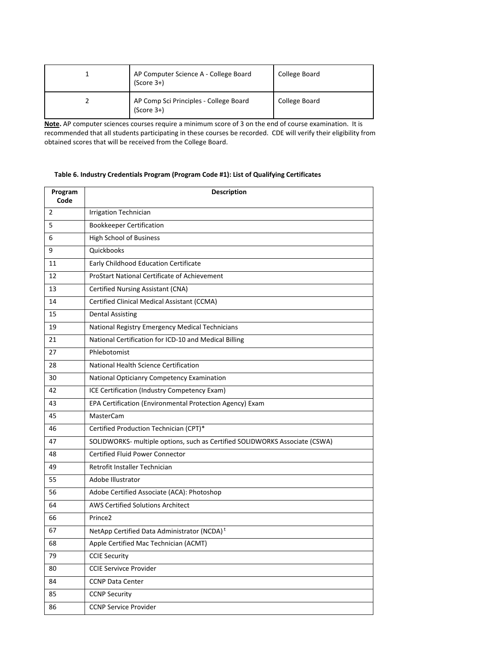| AP Computer Science A - College Board<br>$(Score 3+)$  | College Board |
|--------------------------------------------------------|---------------|
| AP Comp Sci Principles - College Board<br>$(Score 3+)$ | College Board |

**Note.** AP computer sciences courses require a minimum score of 3 on the end of course examination. It is recommended that all students participating in these courses be recorded. CDE will verify their eligibility from obtained scores that will be received from the College Board.

#### **Table 6. Industry Credentials Program (Program Code #1): List of Qualifying Certificates**

| Program<br>Code | <b>Description</b>                                                          |
|-----------------|-----------------------------------------------------------------------------|
| $\overline{2}$  | <b>Irrigation Technician</b>                                                |
| 5               | <b>Bookkeeper Certification</b>                                             |
| 6               | <b>High School of Business</b>                                              |
| 9               | Quickbooks                                                                  |
| 11              | Early Childhood Education Certificate                                       |
| 12              | <b>ProStart National Certificate of Achievement</b>                         |
| 13              | Certified Nursing Assistant (CNA)                                           |
| 14              | Certified Clinical Medical Assistant (CCMA)                                 |
| 15              | <b>Dental Assisting</b>                                                     |
| 19              | National Registry Emergency Medical Technicians                             |
| 21              | National Certification for ICD-10 and Medical Billing                       |
| 27              | Phlebotomist                                                                |
| 28              | National Health Science Certification                                       |
| 30              | National Opticianry Competency Examination                                  |
| 42              | ICE Certification (Industry Competency Exam)                                |
| 43              | EPA Certification (Environmental Protection Agency) Exam                    |
| 45              | <b>MasterCam</b>                                                            |
| 46              | Certified Production Technician (CPT)*                                      |
| 47              | SOLIDWORKS- multiple options, such as Certified SOLIDWORKS Associate (CSWA) |
| 48              | <b>Certified Fluid Power Connector</b>                                      |
| 49              | Retrofit Installer Technician                                               |
| 55              | Adobe Illustrator                                                           |
| 56              | Adobe Certified Associate (ACA): Photoshop                                  |
| 64              | <b>AWS Certified Solutions Architect</b>                                    |
| 66              | Prince <sub>2</sub>                                                         |
| 67              | NetApp Certified Data Administrator (NCDA) <sup>t</sup>                     |
| 68              | Apple Certified Mac Technician (ACMT)                                       |
| 79              | <b>CCIE Security</b>                                                        |
| 80              | <b>CCIE Servivce Provider</b>                                               |
| 84              | <b>CCNP Data Center</b>                                                     |
| 85              | <b>CCNP Security</b>                                                        |
| 86              | <b>CCNP Service Provider</b>                                                |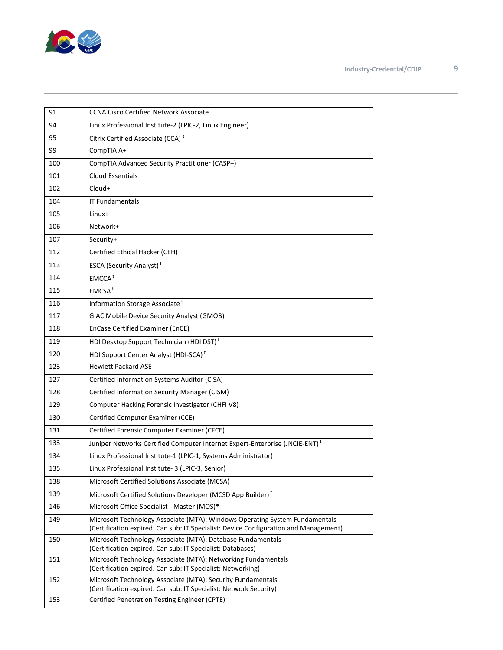

| 91  | <b>CCNA Cisco Certified Network Associate</b>                                                                                |
|-----|------------------------------------------------------------------------------------------------------------------------------|
| 94  | Linux Professional Institute-2 (LPIC-2, Linux Engineer)                                                                      |
| 95  | Citrix Certified Associate (CCA) <sup>t</sup>                                                                                |
| 99  | CompTIA A+                                                                                                                   |
| 100 | CompTIA Advanced Security Practitioner (CASP+)                                                                               |
| 101 | <b>Cloud Essentials</b>                                                                                                      |
| 102 | Cloud+                                                                                                                       |
| 104 | <b>IT Fundamentals</b>                                                                                                       |
| 105 | Linux+                                                                                                                       |
| 106 | Network+                                                                                                                     |
| 107 | Security+                                                                                                                    |
| 112 | Certified Ethical Hacker (CEH)                                                                                               |
| 113 | ESCA (Security Analyst) <sup>t</sup>                                                                                         |
| 114 | EMCCA <sup>t</sup>                                                                                                           |
| 115 | EMCSA <sup>t</sup>                                                                                                           |
| 116 | Information Storage Associate <sup>t</sup>                                                                                   |
| 117 | GIAC Mobile Device Security Analyst (GMOB)                                                                                   |
| 118 | <b>EnCase Certified Examiner (EnCE)</b>                                                                                      |
| 119 | HDI Desktop Support Technician (HDI DST) <sup>t</sup>                                                                        |
| 120 | HDI Support Center Analyst (HDI-SCA) <sup>t</sup>                                                                            |
| 123 | <b>Hewlett Packard ASE</b>                                                                                                   |
| 127 | Certified Information Systems Auditor (CISA)                                                                                 |
| 128 | Certified Information Security Manager (CISM)                                                                                |
| 129 | Computer Hacking Forensic Investigator (CHFIV8)                                                                              |
| 130 | Certified Computer Examiner (CCE)                                                                                            |
| 131 | Certified Forensic Computer Examiner (CFCE)                                                                                  |
| 133 | Juniper Networks Certified Computer Internet Expert-Enterprise (JNCIE-ENT) <sup>t</sup>                                      |
| 134 | Linux Professional Institute-1 (LPIC-1, Systems Administrator)                                                               |
| 135 | Linux Professional Institute- 3 (LPIC-3, Senior)                                                                             |
| 138 | Microsoft Certified Solutions Associate (MCSA)                                                                               |
| 139 | Microsoft Certified Solutions Developer (MCSD App Builder) <sup>t</sup>                                                      |
| 146 | Microsoft Office Specialist - Master (MOS)*                                                                                  |
| 149 | Microsoft Technology Associate (MTA): Windows Operating System Fundamentals                                                  |
|     | (Certification expired. Can sub: IT Specialist: Device Configuration and Management)                                         |
| 150 | Microsoft Technology Associate (MTA): Database Fundamentals<br>(Certification expired. Can sub: IT Specialist: Databases)    |
| 151 | Microsoft Technology Associate (MTA): Networking Fundamentals<br>(Certification expired. Can sub: IT Specialist: Networking) |
| 152 | Microsoft Technology Associate (MTA): Security Fundamentals                                                                  |
|     | (Certification expired. Can sub: IT Specialist: Network Security)                                                            |
| 153 | Certified Penetration Testing Engineer (CPTE)                                                                                |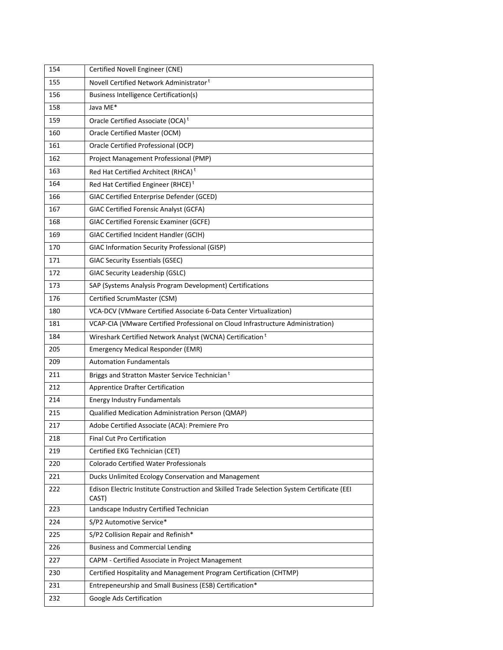| 154 | Certified Novell Engineer (CNE)                                                                     |
|-----|-----------------------------------------------------------------------------------------------------|
| 155 | Novell Certified Network Administrator <sup>t</sup>                                                 |
| 156 | <b>Business Intelligence Certification(s)</b>                                                       |
| 158 | Java ME*                                                                                            |
| 159 | Oracle Certified Associate (OCA) <sup>t</sup>                                                       |
| 160 | Oracle Certified Master (OCM)                                                                       |
| 161 | Oracle Certified Professional (OCP)                                                                 |
| 162 | Project Management Professional (PMP)                                                               |
| 163 | Red Hat Certified Architect (RHCA) <sup>t</sup>                                                     |
| 164 | Red Hat Certified Engineer (RHCE) <sup>t</sup>                                                      |
| 166 | GIAC Certified Enterprise Defender (GCED)                                                           |
| 167 | <b>GIAC Certified Forensic Analyst (GCFA)</b>                                                       |
| 168 | GIAC Certified Forensic Examiner (GCFE)                                                             |
| 169 | GIAC Certified Incident Handler (GCIH)                                                              |
| 170 | GIAC Information Security Professional (GISP)                                                       |
| 171 | <b>GIAC Security Essentials (GSEC)</b>                                                              |
| 172 | <b>GIAC Security Leadership (GSLC)</b>                                                              |
| 173 | SAP (Systems Analysis Program Development) Certifications                                           |
| 176 | Certified ScrumMaster (CSM)                                                                         |
| 180 | VCA-DCV (VMware Certified Associate 6-Data Center Virtualization)                                   |
| 181 | VCAP-CIA (VMware Certified Professional on Cloud Infrastructure Administration)                     |
| 184 | Wireshark Certified Network Analyst (WCNA) Certification <sup>t</sup>                               |
| 205 | Emergency Medical Responder (EMR)                                                                   |
| 209 | <b>Automation Fundamentals</b>                                                                      |
| 211 | Briggs and Stratton Master Service Technician <sup>t</sup>                                          |
| 212 | <b>Apprentice Drafter Certification</b>                                                             |
| 214 | <b>Energy Industry Fundamentals</b>                                                                 |
| 215 | Qualified Medication Administration Person (QMAP)                                                   |
| 217 | Adobe Certified Associate (ACA): Premiere Pro                                                       |
| 218 | <b>Final Cut Pro Certification</b>                                                                  |
| 219 | Certified EKG Technician (CET)                                                                      |
| 220 | <b>Colorado Certified Water Professionals</b>                                                       |
| 221 | Ducks Unlimited Ecology Conservation and Management                                                 |
| 222 | Edison Electric Institute Construction and Skilled Trade Selection System Certificate (EEI<br>CAST) |
| 223 | Landscape Industry Certified Technician                                                             |
| 224 | S/P2 Automotive Service*                                                                            |
| 225 | S/P2 Collision Repair and Refinish*                                                                 |
| 226 | <b>Business and Commercial Lending</b>                                                              |
| 227 | CAPM - Certified Associate in Project Management                                                    |
| 230 | Certified Hospitality and Management Program Certification (CHTMP)                                  |
| 231 | Entrepeneurship and Small Business (ESB) Certification*                                             |
| 232 | Google Ads Certification                                                                            |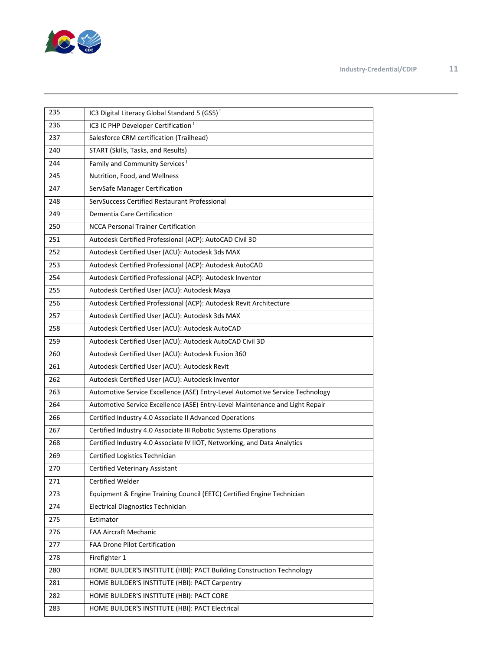

| 235 | IC3 Digital Literacy Global Standard 5 (GS5) <sup>t</sup>                     |
|-----|-------------------------------------------------------------------------------|
| 236 | IC3 IC PHP Developer Certification <sup>t</sup>                               |
| 237 | Salesforce CRM certification (Trailhead)                                      |
| 240 | START (Skills, Tasks, and Results)                                            |
| 244 | Family and Community Services <sup>t</sup>                                    |
| 245 | Nutrition, Food, and Wellness                                                 |
| 247 | ServSafe Manager Certification                                                |
| 248 | ServSuccess Certified Restaurant Professional                                 |
| 249 | Dementia Care Certification                                                   |
| 250 | <b>NCCA Personal Trainer Certification</b>                                    |
| 251 | Autodesk Certified Professional (ACP): AutoCAD Civil 3D                       |
| 252 | Autodesk Certified User (ACU): Autodesk 3ds MAX                               |
| 253 | Autodesk Certified Professional (ACP): Autodesk AutoCAD                       |
| 254 | Autodesk Certified Professional (ACP): Autodesk Inventor                      |
| 255 | Autodesk Certified User (ACU): Autodesk Maya                                  |
| 256 | Autodesk Certified Professional (ACP): Autodesk Revit Architecture            |
| 257 | Autodesk Certified User (ACU): Autodesk 3ds MAX                               |
| 258 | Autodesk Certified User (ACU): Autodesk AutoCAD                               |
| 259 | Autodesk Certified User (ACU): Autodesk AutoCAD Civil 3D                      |
| 260 | Autodesk Certified User (ACU): Autodesk Fusion 360                            |
| 261 | Autodesk Certified User (ACU): Autodesk Revit                                 |
| 262 | Autodesk Certified User (ACU): Autodesk Inventor                              |
| 263 | Automotive Service Excellence (ASE) Entry-Level Automotive Service Technology |
| 264 | Automotive Service Excellence (ASE) Entry-Level Maintenance and Light Repair  |
| 266 | Certified Industry 4.0 Associate II Advanced Operations                       |
| 267 | Certified Industry 4.0 Associate III Robotic Systems Operations               |
| 268 | Certified Industry 4.0 Associate IV IIOT, Networking, and Data Analytics      |
| 269 | Certified Logistics Technician                                                |
| 270 | <b>Certified Veterinary Assistant</b>                                         |
| 271 | Certified Welder                                                              |
| 273 | Equipment & Engine Training Council (EETC) Certified Engine Technician        |
| 274 | <b>Electrical Diagnostics Technician</b>                                      |
| 275 | Estimator                                                                     |
| 276 | FAA Aircraft Mechanic                                                         |
| 277 | FAA Drone Pilot Certification                                                 |
| 278 | Firefighter 1                                                                 |
| 280 | HOME BUILDER'S INSTITUTE (HBI): PACT Building Construction Technology         |
| 281 | HOME BUILDER'S INSTITUTE (HBI): PACT Carpentry                                |
| 282 | HOME BUILDER'S INSTITUTE (HBI): PACT CORE                                     |
| 283 | HOME BUILDER'S INSTITUTE (HBI): PACT Electrical                               |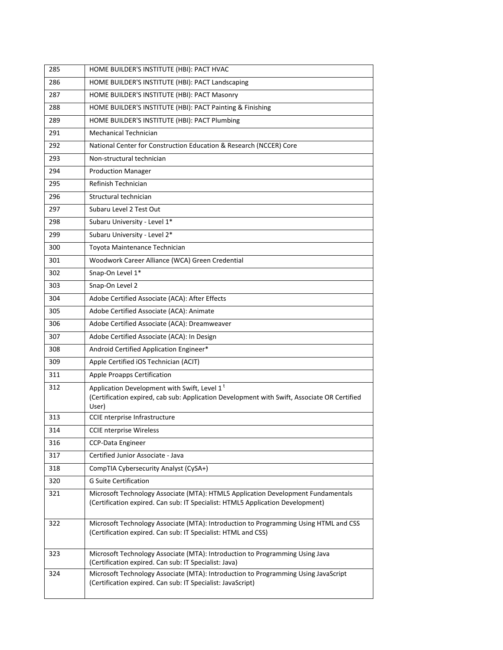| 285 | HOME BUILDER'S INSTITUTE (HBI): PACT HVAC                                                                                                                          |
|-----|--------------------------------------------------------------------------------------------------------------------------------------------------------------------|
| 286 | HOME BUILDER'S INSTITUTE (HBI): PACT Landscaping                                                                                                                   |
| 287 | HOME BUILDER'S INSTITUTE (HBI): PACT Masonry                                                                                                                       |
| 288 | HOME BUILDER'S INSTITUTE (HBI): PACT Painting & Finishing                                                                                                          |
| 289 | HOME BUILDER'S INSTITUTE (HBI): PACT Plumbing                                                                                                                      |
| 291 | Mechanical Technician                                                                                                                                              |
| 292 | National Center for Construction Education & Research (NCCER) Core                                                                                                 |
| 293 | Non-structural technician                                                                                                                                          |
| 294 | <b>Production Manager</b>                                                                                                                                          |
| 295 | Refinish Technician                                                                                                                                                |
| 296 | Structural technician                                                                                                                                              |
| 297 | Subaru Level 2 Test Out                                                                                                                                            |
| 298 | Subaru University - Level 1*                                                                                                                                       |
| 299 | Subaru University - Level 2*                                                                                                                                       |
| 300 | Toyota Maintenance Technician                                                                                                                                      |
| 301 | Woodwork Career Alliance (WCA) Green Credential                                                                                                                    |
| 302 | Snap-On Level 1*                                                                                                                                                   |
| 303 | Snap-On Level 2                                                                                                                                                    |
| 304 | Adobe Certified Associate (ACA): After Effects                                                                                                                     |
| 305 | Adobe Certified Associate (ACA): Animate                                                                                                                           |
| 306 | Adobe Certified Associate (ACA): Dreamweaver                                                                                                                       |
| 307 | Adobe Certified Associate (ACA): In Design                                                                                                                         |
| 308 | Android Certified Application Engineer*                                                                                                                            |
| 309 | Apple Certified iOS Technician (ACIT)                                                                                                                              |
| 311 | <b>Apple Proapps Certification</b>                                                                                                                                 |
| 312 | Application Development with Swift, Level 1 <sup>t</sup><br>(Certification expired, cab sub: Application Development with Swift, Associate OR Certified<br>User)   |
| 313 | CCIE nterprise Infrastructure                                                                                                                                      |
| 314 | <b>CCIE</b> nterprise Wireless                                                                                                                                     |
| 316 | CCP-Data Engineer                                                                                                                                                  |
| 317 | Certified Junior Associate - Java                                                                                                                                  |
| 318 | CompTIA Cybersecurity Analyst (CySA+)                                                                                                                              |
| 320 | <b>G Suite Certification</b>                                                                                                                                       |
| 321 | Microsoft Technology Associate (MTA): HTML5 Application Development Fundamentals<br>(Certification expired. Can sub: IT Specialist: HTML5 Application Development) |
| 322 | Microsoft Technology Associate (MTA): Introduction to Programming Using HTML and CSS<br>(Certification expired. Can sub: IT Specialist: HTML and CSS)              |
| 323 | Microsoft Technology Associate (MTA): Introduction to Programming Using Java<br>(Certification expired. Can sub: IT Specialist: Java)                              |
| 324 | Microsoft Technology Associate (MTA): Introduction to Programming Using JavaScript<br>(Certification expired. Can sub: IT Specialist: JavaScript)                  |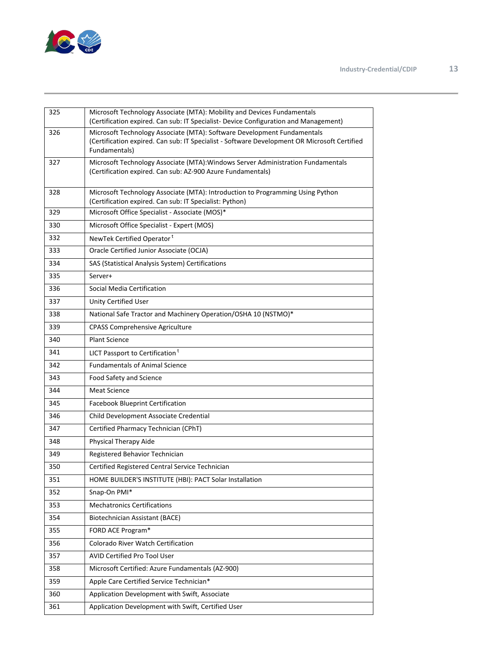

| 325 | Microsoft Technology Associate (MTA): Mobility and Devices Fundamentals<br>(Certification expired. Can sub: IT Specialist- Device Configuration and Management)                          |
|-----|------------------------------------------------------------------------------------------------------------------------------------------------------------------------------------------|
| 326 | Microsoft Technology Associate (MTA): Software Development Fundamentals<br>(Certification expired. Can sub: IT Specialist - Software Development OR Microsoft Certified<br>Fundamentals) |
| 327 | Microsoft Technology Associate (MTA): Windows Server Administration Fundamentals<br>(Certification expired. Can sub: AZ-900 Azure Fundamentals)                                          |
| 328 | Microsoft Technology Associate (MTA): Introduction to Programming Using Python<br>(Certification expired. Can sub: IT Specialist: Python)                                                |
| 329 | Microsoft Office Specialist - Associate (MOS)*                                                                                                                                           |
| 330 | Microsoft Office Specialist - Expert (MOS)                                                                                                                                               |
| 332 | NewTek Certified Operator <sup>t</sup>                                                                                                                                                   |
| 333 | Oracle Certified Junior Associate (OCJA)                                                                                                                                                 |
| 334 | SAS (Statistical Analysis System) Certifications                                                                                                                                         |
| 335 | Server+                                                                                                                                                                                  |
| 336 | Social Media Certification                                                                                                                                                               |
| 337 | Unity Certified User                                                                                                                                                                     |
| 338 | National Safe Tractor and Machinery Operation/OSHA 10 (NSTMO)*                                                                                                                           |
| 339 | <b>CPASS Comprehensive Agriculture</b>                                                                                                                                                   |
| 340 | <b>Plant Science</b>                                                                                                                                                                     |
| 341 | LICT Passport to Certification <sup>t</sup>                                                                                                                                              |
| 342 | <b>Fundamentals of Animal Science</b>                                                                                                                                                    |
| 343 | Food Safety and Science                                                                                                                                                                  |
| 344 | <b>Meat Science</b>                                                                                                                                                                      |
| 345 | <b>Facebook Blueprint Certification</b>                                                                                                                                                  |
| 346 | Child Development Associate Credential                                                                                                                                                   |
| 347 | Certified Pharmacy Technician (CPhT)                                                                                                                                                     |
| 348 | Physical Therapy Aide                                                                                                                                                                    |
| 349 | Registered Behavior Technician                                                                                                                                                           |
| 350 | Certified Registered Central Service Technician                                                                                                                                          |
| 351 | HOME BUILDER'S INSTITUTE (HBI): PACT Solar Installation                                                                                                                                  |
| 352 | Snap-On PMI*                                                                                                                                                                             |
| 353 | <b>Mechatronics Certifications</b>                                                                                                                                                       |
| 354 | <b>Biotechnician Assistant (BACE)</b>                                                                                                                                                    |
| 355 | FORD ACE Program*                                                                                                                                                                        |
| 356 | Colorado River Watch Certification                                                                                                                                                       |
| 357 | AVID Certified Pro Tool User                                                                                                                                                             |
| 358 | Microsoft Certified: Azure Fundamentals (AZ-900)                                                                                                                                         |
| 359 | Apple Care Certified Service Technician*                                                                                                                                                 |
| 360 | Application Development with Swift, Associate                                                                                                                                            |
| 361 | Application Development with Swift, Certified User                                                                                                                                       |